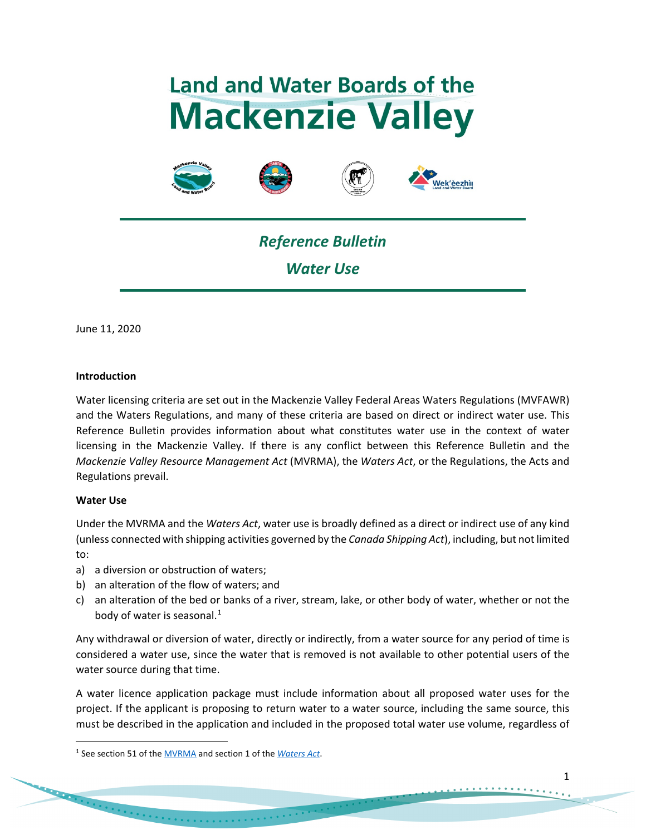# **Land and Water Boards of the Mackenzie Valley**







# *Reference Bulletin Water Use*

June 11, 2020

## **Introduction**

Water licensing criteria are set out in the Mackenzie Valley Federal Areas Waters Regulations (MVFAWR) and the Waters Regulations, and many of these criteria are based on direct or indirect water use. This Reference Bulletin provides information about what constitutes water use in the context of water licensing in the Mackenzie Valley. If there is any conflict between this Reference Bulletin and the *Mackenzie Valley Resource Management Act* (MVRMA), the *Waters Act*, or the Regulations, the Acts and Regulations prevail.

#### **Water Use**

Under the MVRMA and the *Waters Act*, water use is broadly defined as a direct or indirect use of any kind (unless connected with shipping activities governed by the *Canada Shipping Act*), including, but not limited to:

- a) a diversion or obstruction of waters;
- b) an alteration of the flow of waters; and
- c) an alteration of the bed or banks of a river, stream, lake, or other body of water, whether or not the body of water is seasonal. $<sup>1</sup>$  $<sup>1</sup>$  $<sup>1</sup>$ </sup>

Any withdrawal or diversion of water, directly or indirectly, from a water source for any period of time is considered a water use, since the water that is removed is not available to other potential users of the water source during that time.

A water licence application package must include information about all proposed water uses for the project. If the applicant is proposing to return water to a water source, including the same source, this must be described in the application and included in the proposed total water use volume, regardless of

<span id="page-0-0"></span><sup>1</sup> See section 51 of th[e MVRMA](http://laws-lois.justice.gc.ca/PDF/M-0.2.pdf) and section 1 of the *[Waters Act](https://www.justice.gov.nt.ca/en/files/legislation/waters/waters.a.pdf)*.